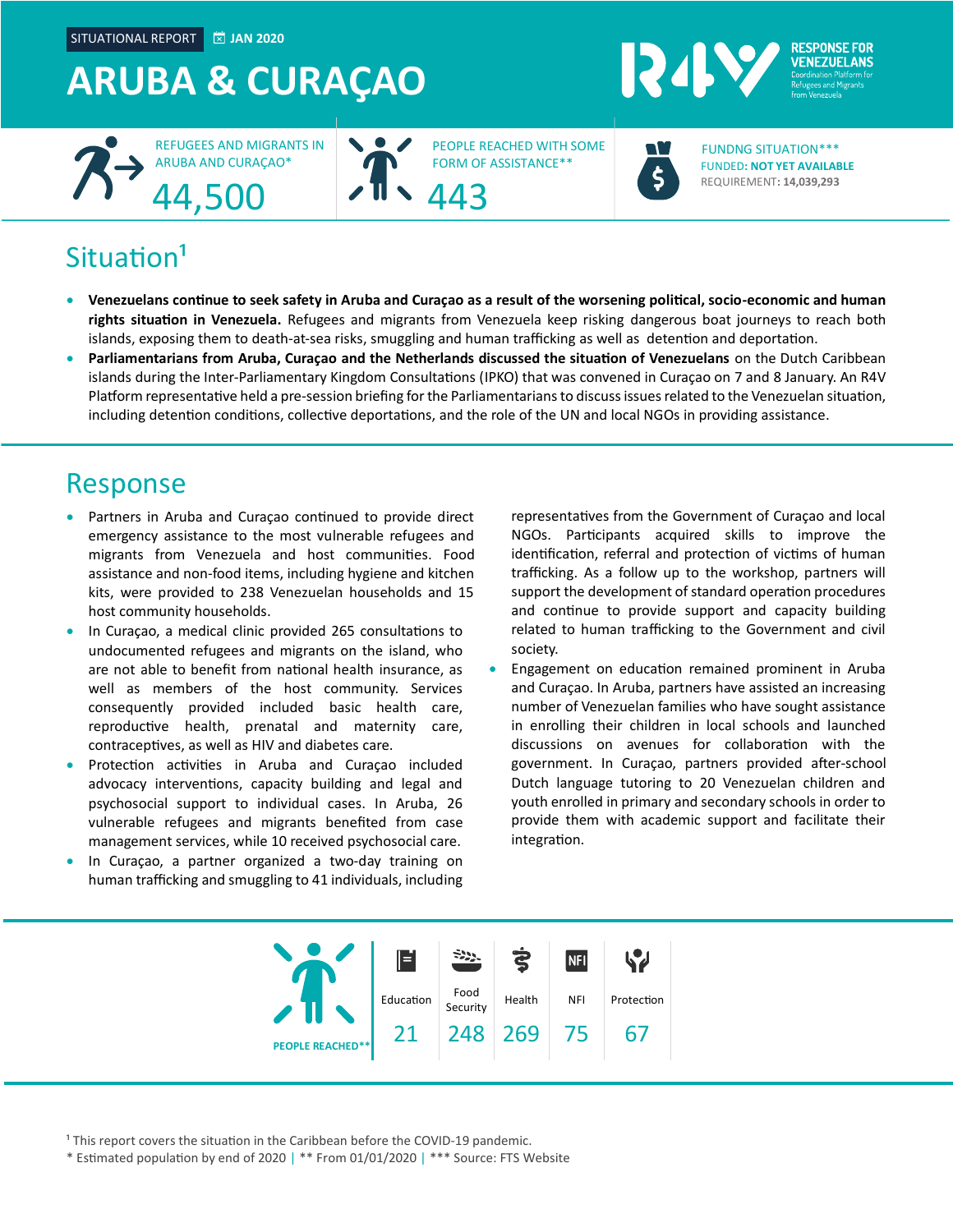SITUATIONAL REPORT **JAN 2020**

## **ARUBA & CURAÇAO**



PEOPLE REACHED WITH SOME FORM OF ASSISTANCE\*\*



**RESPONSE FOR VENEZUEL ANS** 

FUNDED**: NOT YET AVAILABLE** REQUIREMENT**: 14,039,293** FUNDNG SITUATION\*\*\*

### Situation<sup>1</sup>

- **Venezuelans continue to seek safety in Aruba and Curaçao as a result of the worsening political, socio-economic and human rights situation in Venezuela.** Refugees and migrants from Venezuela keep risking dangerous boat journeys to reach both islands, exposing them to death-at-sea risks, smuggling and human trafficking as well as detention and deportation.
- **Parliamentarians from Aruba, Curaçao and the Netherlands discussed the situation of Venezuelans** on the Dutch Caribbean islands during the Inter-Parliamentary Kingdom Consultations (IPKO) that was convened in Curaçao on 7 and 8 January. An R4V Platform representative held a pre-session briefing for the Parliamentarians to discuss issues related to the Venezuelan situation, including detention conditions, collective deportations, and the role of the UN and local NGOs in providing assistance.

### Response

- Partners in Aruba and Curaçao continued to provide direct emergency assistance to the most vulnerable refugees and migrants from Venezuela and host communities. Food assistance and non-food items, including hygiene and kitchen kits, were provided to 238 Venezuelan households and 15 host community households.
- In Curaçao, a medical clinic provided 265 consultations to undocumented refugees and migrants on the island, who are not able to benefit from national health insurance, as well as members of the host community. Services consequently provided included basic health care, reproductive health, prenatal and maternity care, contraceptives, as well as HIV and diabetes care.
- Protection activities in Aruba and Curaçao included advocacy interventions, capacity building and legal and psychosocial support to individual cases. In Aruba, 26 vulnerable refugees and migrants benefited from case management services, while 10 received psychosocial care.
- In Curaçao, a partner organized a two-day training on human trafficking and smuggling to 41 individuals, including

representatives from the Government of Curaçao and local NGOs. Participants acquired skills to improve the identification, referral and protection of victims of human trafficking. As a follow up to the workshop, partners will support the development of standard operation procedures and continue to provide support and capacity building related to human trafficking to the Government and civil society.

• Engagement on education remained prominent in Aruba and Curaçao. In Aruba, partners have assisted an increasing number of Venezuelan families who have sought assistance in enrolling their children in local schools and launched discussions on avenues for collaboration with the government. In Curaçao, partners provided after-school Dutch language tutoring to 20 Venezuelan children and youth enrolled in primary and secondary schools in order to provide them with academic support and facilitate their integration.



<sup>1</sup> This report covers the situation in the Caribbean before the COVID-19 pandemic.

\* Estimated population by end of 2020 | \*\* From 01/01/2020 | \*\*\* Source: FTS Website